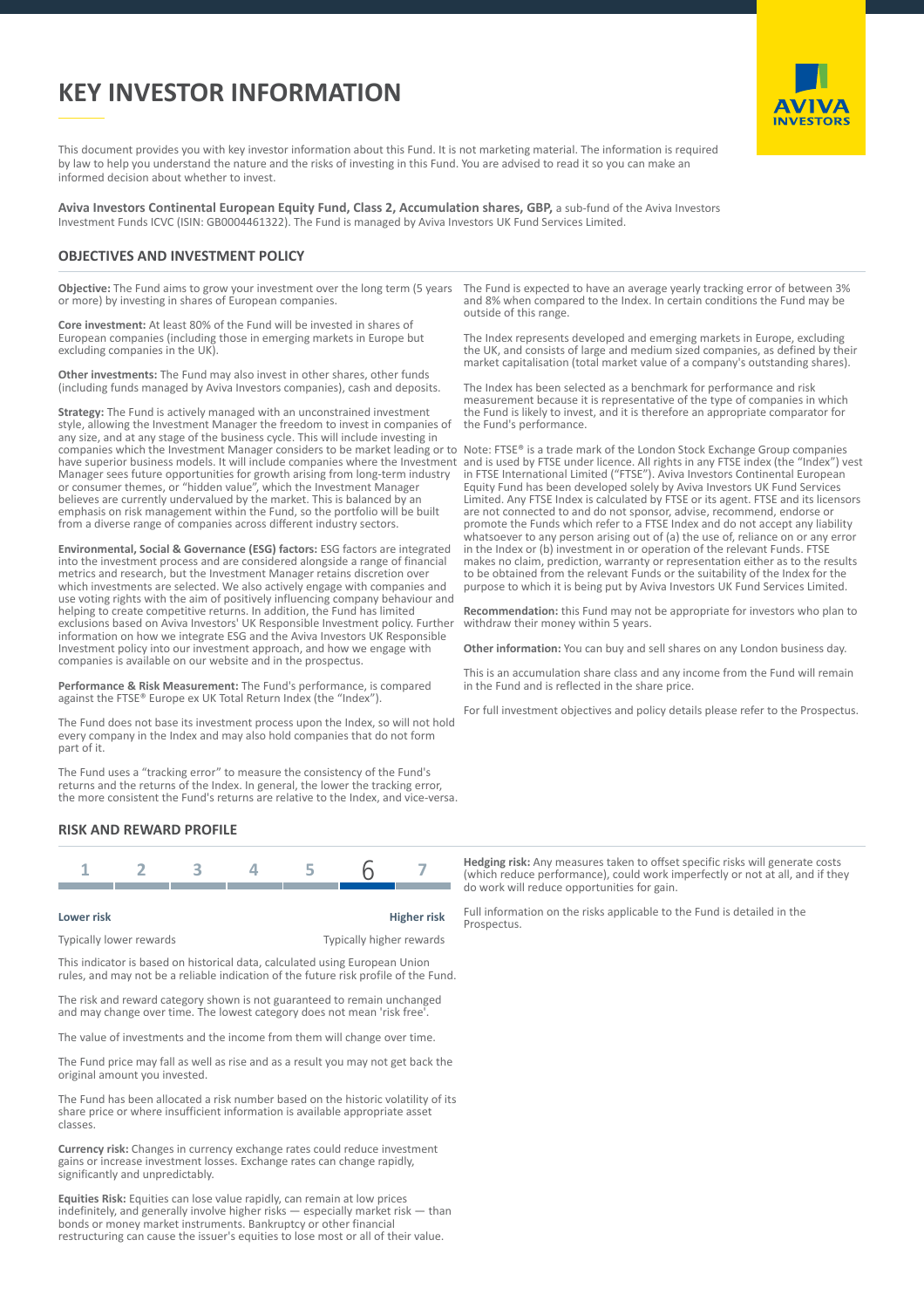# **KEY INVESTOR INFORMATION**



This document provides you with key investor information about this Fund. It is not marketing material. The information is required by law to help you understand the nature and the risks of investing in this Fund. You are advised to read it so you can make an informed decision about whether to invest.

**Aviva Investors Continental European Equity Fund, Class 2, Accumulation shares, GBP,** a sub-fund of the Aviva Investors Investment Funds ICVC (ISIN: GB0004461322). The Fund is managed by Aviva Investors UK Fund Services Limited.

## **OBJECTIVES AND INVESTMENT POLICY**

**Objective:** The Fund aims to grow your investment over the long term (5 years or more) by investing in shares of European companies.

**Core investment:** At least 80% of the Fund will be invested in shares of European companies (including those in emerging markets in Europe but excluding companies in the UK).

**Other investments:** The Fund may also invest in other shares, other funds (including funds managed by Aviva Investors companies), cash and deposits.

**Strategy:** The Fund is actively managed with an unconstrained investment style, allowing the Investment Manager the freedom to invest in companies of any size, and at any stage of the business cycle. This will include investing in companies which the Investment Manager considers to be market leading or to Note: FTSE® is a trade mark of the London Stock Exchange Group companies have superior business models. It will include companies where the Investment Manager sees future opportunities for growth arising from long-term industry or consumer themes, or "hidden value", which the Investment Manager believes are currently undervalued by the market. This is balanced by an emphasis on risk management within the Fund, so the portfolio will be built from a diverse range of companies across different industry sectors.

**Environmental, Social & Governance (ESG) factors:** ESG factors are integrated into the investment process and are considered alongside a range of financial metrics and research, but the Investment Manager retains discretion over which investments are selected. We also actively engage with companies and use voting rights with the aim of positively influencing company behaviour and helping to create competitive returns. In addition, the Fund has limited exclusions based on Aviva Investors' UK Responsible Investment policy. Further information on how we integrate ESG and the Aviva Investors UK Responsible Investment policy into our investment approach, and how we engage with companies is available on our website and in the prospectus.

**Performance & Risk Measurement:** The Fund's performance, is compared against the FTSE® Europe ex UK Total Return Index (the "Index").

The Fund does not base its investment process upon the Index, so will not hold every company in the Index and may also hold companies that do not form part of it.

The Fund uses a "tracking error" to measure the consistency of the Fund's returns and the returns of the Index. In general, the lower the tracking error, the more consistent the Fund's returns are relative to the Index, and vice-versa.

### **RISK AND REWARD PROFILE**

#### **Lower risk Higher risk**

Typically lower rewards Typically higher rewards

This indicator is based on historical data, calculated using European Union rules, and may not be a reliable indication of the future risk profile of the Fund.

The risk and reward category shown is not guaranteed to remain unchanged and may change over time. The lowest category does not mean 'risk free'.

The value of investments and the income from them will change over time.

The Fund price may fall as well as rise and as a result you may not get back the original amount you invested.

The Fund has been allocated a risk number based on the historic volatility of its share price or where insufficient information is available appropriate asset classes.

**Currency risk:** Changes in currency exchange rates could reduce investment gains or increase investment losses. Exchange rates can change rapidly, significantly and unpredictably.

**Equities Risk:** Equities can lose value rapidly, can remain at low prices indefinitely, and generally involve higher risks — especially market risk — than bonds or money market instruments. Bankruptcy or other financial restructuring can cause the issuer's equities to lose most or all of their value.

The Fund is expected to have an average yearly tracking error of between 3% and 8% when compared to the Index. In certain conditions the Fund may be outside of this range.

The Index represents developed and emerging markets in Europe, excluding the UK, and consists of large and medium sized companies, as defined by their market capitalisation (total market value of a company's outstanding shares).

The Index has been selected as a benchmark for performance and risk measurement because it is representative of the type of companies in which the Fund is likely to invest, and it is therefore an appropriate comparator for the Fund's performance.

and is used by FTSE under licence. All rights in any FTSE index (the "Index") vest in FTSE International Limited ("FTSE"). Aviva Investors Continental European Equity Fund has been developed solely by Aviva Investors UK Fund Services Limited. Any FTSE Index is calculated by FTSE or its agent. FTSE and its licensors are not connected to and do not sponsor, advise, recommend, endorse or promote the Funds which refer to a FTSE Index and do not accept any liability promote the rands which refer to a rice mean and as not decept any hashing<br>whatsoever to any person arising out of (a) the use of, reliance on or any error in the Index or (b) investment in or operation of the relevant Funds. FTSE makes no claim, prediction, warranty or representation either as to the results to be obtained from the relevant Funds or the suitability of the Index for the purpose to which it is being put by Aviva Investors UK Fund Services Limited.

**Recommendation:** this Fund may not be appropriate for investors who plan to withdraw their money within 5 years.

**Other information:** You can buy and sell shares on any London business day.

This is an accumulation share class and any income from the Fund will remain in the Fund and is reflected in the share price.

For full investment objectives and policy details please refer to the Prospectus.

**Hedging risk:** Any measures taken to offset specific risks will generate costs (which reduce performance), could work imperfectly or not at all, and if they do work will reduce opportunities for gain.

Full information on the risks applicable to the Fund is detailed in the Prospectus.